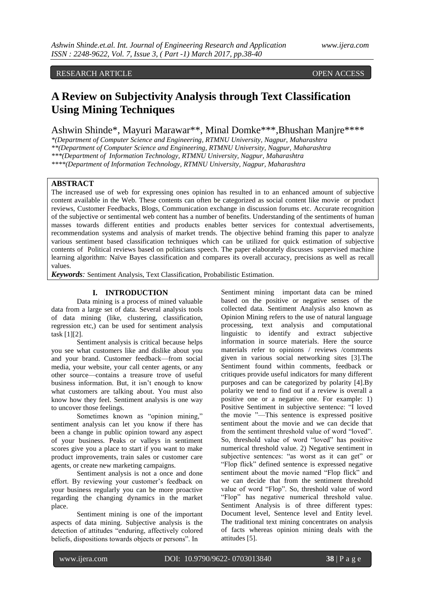# RESEARCH ARTICLE OPEN ACCESS

# **A Review on Subjectivity Analysis through Text Classification Using Mining Techniques**

Ashwin Shinde\*, Mayuri Marawar\*\*, Minal Domke\*\*\*,Bhushan Manjre\*\*\*\*

*\*(Department of Computer Science and Engineering, RTMNU University, Nagpur, Maharashtra \*\*(Department of Computer Science and Engineering, RTMNU University, Nagpur, Maharashtra \*\*\*(Department of Information Technology, RTMNU University, Nagpur, Maharashtra*

*\*\*\*\*(Department of Information Technology, RTMNU University, Nagpur, Maharashtra*

## **ABSTRACT**

The increased use of web for expressing ones opinion has resulted in to an enhanced amount of subjective content available in the Web. These contents can often be categorized as social content like movie or product reviews, Customer Feedbacks, Blogs, Communication exchange in discussion forums etc. Accurate recognition of the subjective or sentimental web content has a number of benefits. Understanding of the sentiments of human masses towards different entities and products enables better services for contextual advertisements, recommendation systems and analysis of market trends. The objective behind framing this paper to analyze various sentiment based classification techniques which can be utilized for quick estimation of subjective contents of Political reviews based on politicians speech. The paper elaborately discusses supervised machine learning algorithm: Naïve Bayes classification and compares its overall accuracy, precisions as well as recall values.

*Keywords:* Sentiment Analysis, Text Classification, Probabilistic Estimation.

## **I. INTRODUCTION**

Data mining is a process of mined valuable data from a large set of data. Several analysis tools of data mining (like, clustering, classification, regression etc,) can be used for sentiment analysis task [1][2].

Sentiment analysis is critical because helps you see what customers like and dislike about you and your brand. Customer feedback—from social media, your website, your call center agents, or any other source—contains a treasure trove of useful business information. But, it isn't enough to know what customers are talking about. You must also know how they feel. Sentiment analysis is one way to uncover those feelings.

Sometimes known as "opinion mining," sentiment analysis can let you know if there has been a change in public opinion toward any aspect of your business. Peaks or valleys in sentiment scores give you a place to start if you want to make product improvements, train sales or customer care agents, or create new marketing campaigns.

Sentiment analysis is not a once and done effort. By reviewing your customer's feedback on your business regularly you can be more proactive regarding the changing dynamics in the market place.

Sentiment mining is one of the important aspects of data mining. Subjective analysis is the detection of attitudes "enduring, affectively colored beliefs, dispositions towards objects or persons". In

Sentiment mining important data can be mined based on the positive or negative senses of the collected data. Sentiment Analysis also known as Opinion Mining refers to the use of natural language processing, text analysis and computational linguistic to identify and extract subjective information in source materials. Here the source materials refer to opinions / reviews /comments given in various social networking sites [3].The Sentiment found within comments, feedback or critiques provide useful indicators for many different purposes and can be categorized by polarity [4].By polarity we tend to find out if a review is overall a positive one or a negative one. For example: 1) Positive Sentiment in subjective sentence: "I loved the movie "—This sentence is expressed positive sentiment about the movie and we can decide that from the sentiment threshold value of word "loved". So, threshold value of word "loved" has positive numerical threshold value. 2) Negative sentiment in subjective sentences: "as worst as it can get" or "Flop flick" defined sentence is expressed negative sentiment about the movie named "Flop flick" and we can decide that from the sentiment threshold value of word "Flop". So, threshold value of word "Flop" has negative numerical threshold value. Sentiment Analysis is of three different types: Document level, Sentence level and Entity level. The traditional text mining concentrates on analysis of facts whereas opinion mining deals with the attitudes [5].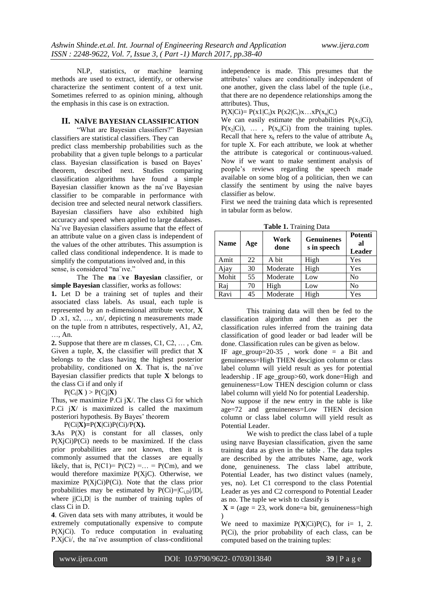NLP, statistics, or machine learning methods are used to extract, identify, or otherwise characterize the sentiment content of a text unit. Sometimes referred to as opinion mining, although the emphasis in this case is on extraction.

### **II. NAÏVE BAYESIAN CLASSIFICATION**

"What are Bayesian classifiers?" Bayesian classifiers are statistical classifiers. They can

predict class membership probabilities such as the probability that a given tuple belongs to a particular class. Bayesian classification is based on Bayes' theorem, described next. Studies comparing classification algorithms have found a simple Bayesian classifier known as the na¨ıve Bayesian classifier to be comparable in performance with decision tree and selected neural network classifiers. Bayesian classifiers have also exhibited high accuracy and speed when applied to large databases. Na¨ıve Bayesian classifiers assume that the effect of an attribute value on a given class is independent of the values of the other attributes. This assumption is called class conditional independence. It is made to simplify the computations involved and, in this sense, is considered "na¨ıve."

The The **na**  $\Box$ ve **Bayesian** classifier, or **simple Bayesian** classifier, works as follows:

**1.** Let D be a training set of tuples and their associated class labels. As usual, each tuple is represented by an n-dimensional attribute vector, **X**  D .x1, x2, …, xn/, depicting n measurements made on the tuple from n attributes, respectively, A1, A2, …, An.

**2.** Suppose that there are m classes, C1, C2, … , Cm. Given a tuple, **X**, the classifier will predict that **X**  belongs to the class having the highest posterior probability, conditioned on **X**. That is, the na¨ıve Bayesian classifier predicts that tuple **X** belongs to the class Ci if and only if

 $P(C_i|\mathbf{X}) > P(C_j|\mathbf{X})$ 

Thus, we maximize P.Ci j**X**/. The class Ci for which P.Ci j**X**/ is maximized is called the maximum posteriori hypothesis. By Bayes' theorem

P(Ci|**X)=**P(**X**|Ci)P(Ci)/P(**X).**

**3.**As P(X) is constant for all classes, only  $P(X_j|C)P(C_i)$  needs to be maximized. If the class prior probabilities are not known, then it is commonly assumed that the classes are equally likely, that is,  $P(C1) = P(C2) = \ldots = P(Cm)$ , and we would therefore maximize P(XjC). Otherwise, we maximize  $P(X_j|C_i)P(C_i)$ . Note that the class prior probabilities may be estimated by  $P(Ci)=|C_{i,D}|/|D|$ , where  $|Ci, D|$  is the number of training tuples of class Ci in D.

**4**. Given data sets with many attributes, it would be extremely computationally expensive to compute P(XjCi). To reduce computation in evaluating P.XjCi/, the na¨ıve assumption of class-conditional

independence is made. This presumes that the attributes' values are conditionally independent of one another, given the class label of the tuple (i.e., that there are no dependence relationships among the attributes). Thus,

 $P(X|C) = P(x1|C_i)x P(x2|C_i)x...xP(x_n|C_i)$ 

We can easily estimate the probabilities  $P(x_1|Ci)$ ,  $P(x_2|Ci)$ , ...,  $P(x_n|Ci)$  from the training tuples. Recall that here  $x_k$  refers to the value of attribute  $A_k$ for tuple X. For each attribute, we look at whether the attribute is categorical or continuous-valued. Now if we want to make sentiment analysis of people's reviews regarding the speech made available on some blog of a politician, then we can classify the sentiment by using the naïve bayes classifier as below.

First we need the training data which is represented in tabular form as below.

**Table 1.** Training Data

| <b>Name</b> | Age | Work<br>done | <b>Genuinenes</b><br>s in speech | Potenti<br>al<br><b>Leader</b> |
|-------------|-----|--------------|----------------------------------|--------------------------------|
| Amit        | 22  | A bit        | High                             | Yes                            |
| Ajay        | 30  | Moderate     | High                             | Yes                            |
| Mohit       | 55  | Moderate     | Low                              | No                             |
| Raj         | 70  | High         | Low                              | N <sub>0</sub>                 |
| Ravi        | 45  | Moderate     | High                             | Yes                            |

This training data will then be fed to the classification algorithm and then as per the classification rules inferred from the training data classification of good leader or bad leader will be done. Classification rules can be given as below. IF age\_group=20-35 , work done = a Bit and

genuineness=High THEN descigion column or class label column will yield result as yes for potential leadership . IF age\_group>60, work done=High and genuineness=Low THEN descigion column or class label column will yield No for potential Leadership.

Now suppose if the new entry in the table is like age=72 and genuineness=Low THEN decision column or class label column will yield result as Potential Leader.

We wish to predict the class label of a tuple using naıve Bayesian classification, given the same training data as given in the table . The data tuples are described by the attributes Name, age, work done, genuineness. The class label attribute, Potential Leader, has two distinct values (namely, yes, no). Let C1 correspond to the class Potential Leader as yes and C2 correspond to Potential Leader as no. The tuple we wish to classify is

 $X = (age = 23, work done = a bit, genuineness = high)$  $\lambda$ 

We need to maximize  $P(X|C)P(C)$ , for i= 1, 2. P(Ci), the prior probability of each class, can be computed based on the training tuples: